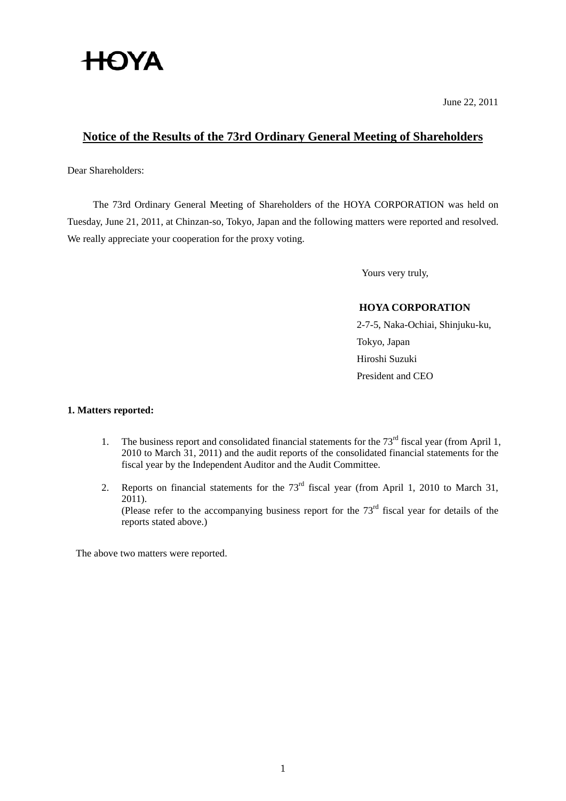# **HOYA**

June 22, 2011

## **Notice of the Results of the 73rd Ordinary General Meeting of Shareholders**

Dear Shareholders:

The 73rd Ordinary General Meeting of Shareholders of the HOYA CORPORATION was held on Tuesday, June 21, 2011, at Chinzan-so, Tokyo, Japan and the following matters were reported and resolved. We really appreciate your cooperation for the proxy voting.

Yours very truly,

## **HOYA CORPORATION**

2-7-5, Naka-Ochiai, Shinjuku-ku, Tokyo, Japan Hiroshi Suzuki President and CEO

## **1. Matters reported:**

- 1. The business report and consolidated financial statements for the 73<sup>rd</sup> fiscal year (from April 1, 2010 to March 31, 2011) and the audit reports of the consolidated financial statements for the fiscal year by the Independent Auditor and the Audit Committee.
- 2. Reports on financial statements for the 73<sup>rd</sup> fiscal year (from April 1, 2010 to March 31, 2011).

(Please refer to the accompanying business report for the  $73<sup>rd</sup>$  fiscal year for details of the reports stated above.)

The above two matters were reported.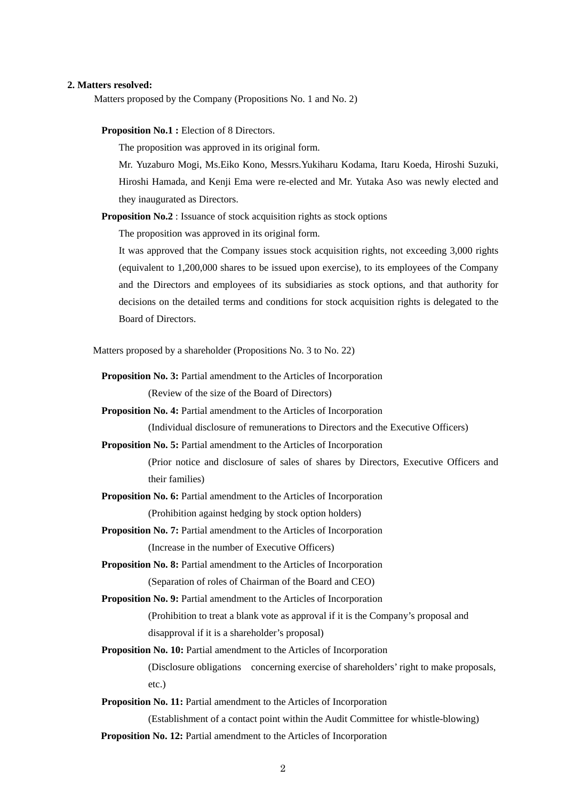#### **2. Matters resolved:**

Matters proposed by the Company (Propositions No. 1 and No. 2)

**Proposition No.1 :** Election of 8 Directors.

The proposition was approved in its original form.

 Mr. Yuzaburo Mogi, Ms.Eiko Kono, Messrs.Yukiharu Kodama, Itaru Koeda, Hiroshi Suzuki, Hiroshi Hamada, and Kenji Ema were re-elected and Mr. Yutaka Aso was newly elected and they inaugurated as Directors.

**Proposition No.2** : Issuance of stock acquisition rights as stock options

The proposition was approved in its original form.

It was approved that the Company issues stock acquisition rights, not exceeding 3,000 rights (equivalent to 1,200,000 shares to be issued upon exercise), to its employees of the Company and the Directors and employees of its subsidiaries as stock options, and that authority for decisions on the detailed terms and conditions for stock acquisition rights is delegated to the Board of Directors.

Matters proposed by a shareholder (Propositions No. 3 to No. 22)

**Proposition No. 3:** Partial amendment to the Articles of Incorporation

(Review of the size of the Board of Directors)

**Proposition No. 4:** Partial amendment to the Articles of Incorporation

(Individual disclosure of remunerations to Directors and the Executive Officers)

**Proposition No. 5:** Partial amendment to the Articles of Incorporation

 (Prior notice and disclosure of sales of shares by Directors, Executive Officers and their families)

- **Proposition No. 6:** Partial amendment to the Articles of Incorporation (Prohibition against hedging by stock option holders)
- **Proposition No. 7:** Partial amendment to the Articles of Incorporation (Increase in the number of Executive Officers)

**Proposition No. 8:** Partial amendment to the Articles of Incorporation

(Separation of roles of Chairman of the Board and CEO)

**Proposition No. 9:** Partial amendment to the Articles of Incorporation

(Prohibition to treat a blank vote as approval if it is the Company's proposal and

disapproval if it is a shareholder's proposal)

**Proposition No. 10:** Partial amendment to the Articles of Incorporation

 (Disclosure obligations concerning exercise of shareholders' right to make proposals, etc.)

**Proposition No. 11:** Partial amendment to the Articles of Incorporation

 (Establishment of a contact point within the Audit Committee for whistle-blowing) **Proposition No. 12:** Partial amendment to the Articles of Incorporation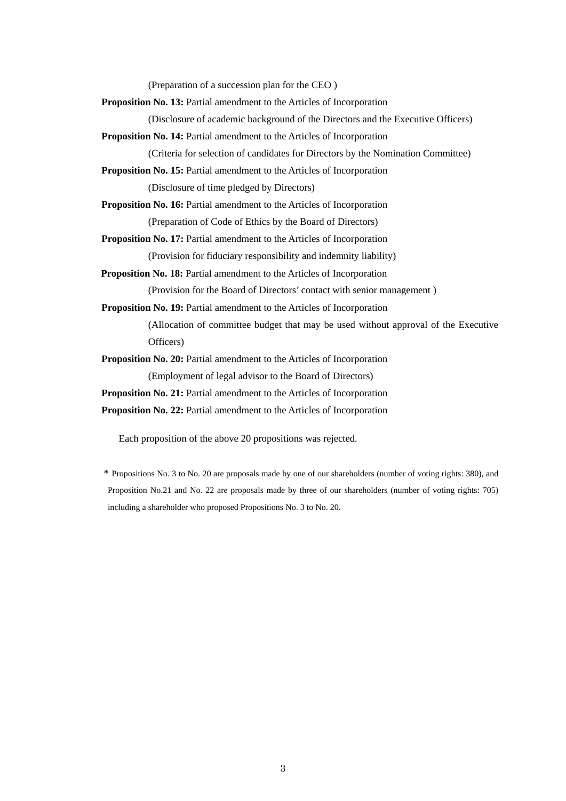(Preparation of a succession plan for the CEO )

**Proposition No. 13:** Partial amendment to the Articles of Incorporation

(Disclosure of academic background of the Directors and the Executive Officers)

**Proposition No. 14:** Partial amendment to the Articles of Incorporation

(Criteria for selection of candidates for Directors by the Nomination Committee)

**Proposition No. 15:** Partial amendment to the Articles of Incorporation (Disclosure of time pledged by Directors)

**Proposition No. 16:** Partial amendment to the Articles of Incorporation (Preparation of Code of Ethics by the Board of Directors)

**Proposition No. 17:** Partial amendment to the Articles of Incorporation (Provision for fiduciary responsibility and indemnity liability)

**Proposition No. 18:** Partial amendment to the Articles of Incorporation

(Provision for the Board of Directors' contact with senior management )

**Proposition No. 19:** Partial amendment to the Articles of Incorporation

 (Allocation of committee budget that may be used without approval of the Executive Officers)

**Proposition No. 20:** Partial amendment to the Articles of Incorporation (Employment of legal advisor to the Board of Directors)

**Proposition No. 21:** Partial amendment to the Articles of Incorporation

**Proposition No. 22:** Partial amendment to the Articles of Incorporation

Each proposition of the above 20 propositions was rejected.

 \* Propositions No. 3 to No. 20 are proposals made by one of our shareholders (number of voting rights: 380), and Proposition No.21 and No. 22 are proposals made by three of our shareholders (number of voting rights: 705) including a shareholder who proposed Propositions No. 3 to No. 20.